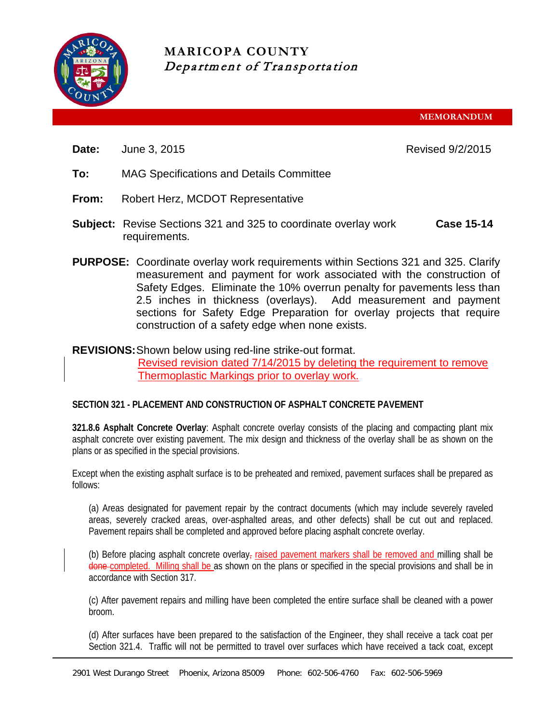

**MARICOPA COUNTY** Department of Transportation

**MEMORANDUM**

**Date:** June 3, 2015 **Date: June 3, 2015** 

- **To:** MAG Specifications and Details Committee
- **From:** Robert Herz, MCDOT Representative
- **Subject:** Revise Sections 321 and 325 to coordinate overlay work requirements. **Case 15-14**
- **PURPOSE:** Coordinate overlay work requirements within Sections 321 and 325. Clarify measurement and payment for work associated with the construction of Safety Edges. Eliminate the 10% overrun penalty for pavements less than 2.5 inches in thickness (overlays). Add measurement and payment sections for Safety Edge Preparation for overlay projects that require construction of a safety edge when none exists.

# **REVISIONS:**Shown below using red-line strike-out format.

Revised revision dated 7/14/2015 by deleting the requirement to remove Thermoplastic Markings prior to overlay work.

## **SECTION 321 - PLACEMENT AND CONSTRUCTION OF ASPHALT CONCRETE PAVEMENT**

**321.8.6 Asphalt Concrete Overlay**: Asphalt concrete overlay consists of the placing and compacting plant mix asphalt concrete over existing pavement. The mix design and thickness of the overlay shall be as shown on the plans or as specified in the special provisions.

Except when the existing asphalt surface is to be preheated and remixed, pavement surfaces shall be prepared as follows:

(a) Areas designated for pavement repair by the contract documents (which may include severely raveled areas, severely cracked areas, over-asphalted areas, and other defects) shall be cut out and replaced. Pavement repairs shall be completed and approved before placing asphalt concrete overlay.

(b) Before placing asphalt concrete overlay, raised pavement markers shall be removed and milling shall be done completed. Milling shall be as shown on the plans or specified in the special provisions and shall be in accordance with Section 317.

(c) After pavement repairs and milling have been completed the entire surface shall be cleaned with a power broom.

(d) After surfaces have been prepared to the satisfaction of the Engineer, they shall receive a tack coat per Section 321.4. Traffic will not be permitted to travel over surfaces which have received a tack coat, except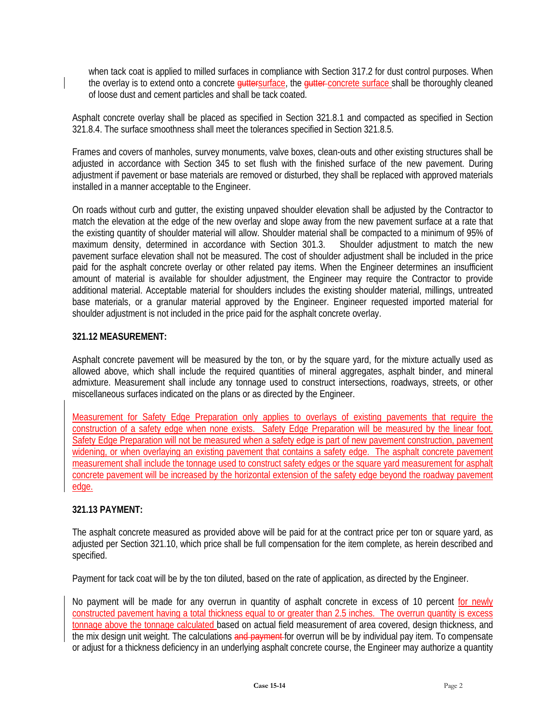when tack coat is applied to milled surfaces in compliance with Section 317.2 for dust control purposes. When the overlay is to extend onto a concrete guttersurface, the gutter concrete surface shall be thoroughly cleaned of loose dust and cement particles and shall be tack coated.

Asphalt concrete overlay shall be placed as specified in Section 321.8.1 and compacted as specified in Section 321.8.4. The surface smoothness shall meet the tolerances specified in Section 321.8.5.

Frames and covers of manholes, survey monuments, valve boxes, clean-outs and other existing structures shall be adjusted in accordance with Section 345 to set flush with the finished surface of the new pavement. During adjustment if pavement or base materials are removed or disturbed, they shall be replaced with approved materials installed in a manner acceptable to the Engineer.

On roads without curb and gutter, the existing unpaved shoulder elevation shall be adjusted by the Contractor to match the elevation at the edge of the new overlay and slope away from the new pavement surface at a rate that the existing quantity of shoulder material will allow. Shoulder material shall be compacted to a minimum of 95% of maximum density, determined in accordance with Section 301.3. Shoulder adjustment to match the new pavement surface elevation shall not be measured. The cost of shoulder adjustment shall be included in the price paid for the asphalt concrete overlay or other related pay items. When the Engineer determines an insufficient amount of material is available for shoulder adjustment, the Engineer may require the Contractor to provide additional material. Acceptable material for shoulders includes the existing shoulder material, millings, untreated base materials, or a granular material approved by the Engineer. Engineer requested imported material for shoulder adjustment is not included in the price paid for the asphalt concrete overlay.

### **321.12 MEASUREMENT:**

Asphalt concrete pavement will be measured by the ton, or by the square yard, for the mixture actually used as allowed above, which shall include the required quantities of mineral aggregates, asphalt binder, and mineral admixture. Measurement shall include any tonnage used to construct intersections, roadways, streets, or other miscellaneous surfaces indicated on the plans or as directed by the Engineer.

Measurement for Safety Edge Preparation only applies to overlays of existing pavements that require the construction of a safety edge when none exists. Safety Edge Preparation will be measured by the linear foot. Safety Edge Preparation will not be measured when a safety edge is part of new pavement construction, pavement widening, or when overlaying an existing pavement that contains a safety edge. The asphalt concrete pavement measurement shall include the tonnage used to construct safety edges or the square yard measurement for asphalt concrete pavement will be increased by the horizontal extension of the safety edge beyond the roadway pavement edge.

## **321.13 PAYMENT:**

The asphalt concrete measured as provided above will be paid for at the contract price per ton or square yard, as adjusted per Section 321.10, which price shall be full compensation for the item complete, as herein described and specified.

Payment for tack coat will be by the ton diluted, based on the rate of application, as directed by the Engineer.

No payment will be made for any overrun in quantity of asphalt concrete in excess of 10 percent for newly constructed pavement having a total thickness equal to or greater than 2.5 inches. The overrun quantity is excess tonnage above the tonnage calculated based on actual field measurement of area covered, design thickness, and the mix design unit weight. The calculations and payment for overrun will be by individual pay item. To compensate or adjust for a thickness deficiency in an underlying asphalt concrete course, the Engineer may authorize a quantity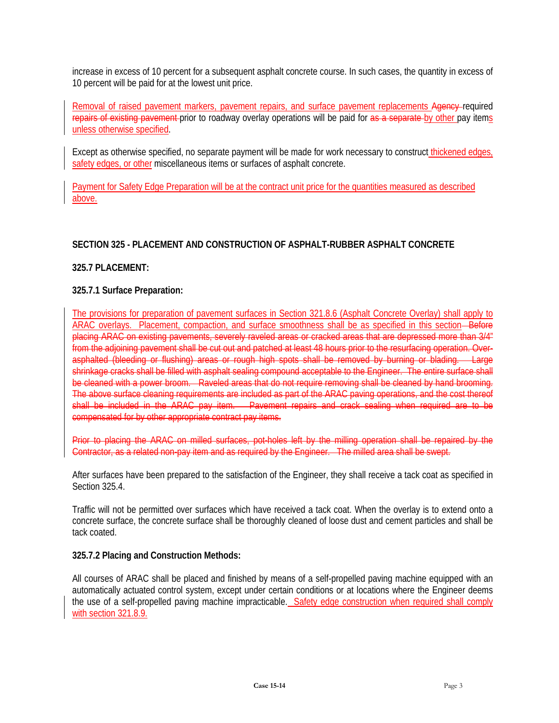increase in excess of 10 percent for a subsequent asphalt concrete course. In such cases, the quantity in excess of 10 percent will be paid for at the lowest unit price.

Removal of raised pavement markers, pavement repairs, and surface pavement replacements Agency-required repairs of existing pavement prior to roadway overlay operations will be paid for as a separate by other pay items unless otherwise specified.

Except as otherwise specified, no separate payment will be made for work necessary to construct thickened edges, safety edges, or other miscellaneous items or surfaces of asphalt concrete.

Payment for Safety Edge Preparation will be at the contract unit price for the quantities measured as described above.

# **SECTION 325 - PLACEMENT AND CONSTRUCTION OF ASPHALT-RUBBER ASPHALT CONCRETE**

### **325.7 PLACEMENT:**

### **325.7.1 Surface Preparation:**

The provisions for preparation of pavement surfaces in Section 321.8.6 (Asphalt Concrete Overlay) shall apply to ARAC overlays. Placement, compaction, and surface smoothness shall be as specified in this section—Before placing ARAC on existing pavements, severely raveled areas or cracked areas that are depressed more than 3/4" from the adjoining pavement shall be cut out and patched at least 48 hours prior to the resurfacing operation. Overasphalted (bleeding or flushing) areas or rough high spots shall be removed by burning or blading. Large shrinkage cracks shall be filled with asphalt sealing compound acceptable to the Engineer. The entire surface shall be cleaned with a power broom. Raveled areas that do not require removing shall be cleaned by hand brooming. The above surface cleaning requirements are included as part of the ARAC paving operations, and the cost thereof shall be included in the ARAC pay item. Pavement repairs and crack sealing when required are to be compensated for by other appropriate contract pay items.

Prior to placing the ARAC on milled surfaces, pot-holes left by the milling operation shall be repaired by the Contractor, as a related non-pay item and as required by the Engineer. The milled area shall be swept.

After surfaces have been prepared to the satisfaction of the Engineer, they shall receive a tack coat as specified in Section 325.4.

Traffic will not be permitted over surfaces which have received a tack coat. When the overlay is to extend onto a concrete surface, the concrete surface shall be thoroughly cleaned of loose dust and cement particles and shall be tack coated.

#### **325.7.2 Placing and Construction Methods:**

All courses of ARAC shall be placed and finished by means of a self-propelled paving machine equipped with an automatically actuated control system, except under certain conditions or at locations where the Engineer deems the use of a self-propelled paving machine impracticable. Safety edge construction when required shall comply with section 321.8.9.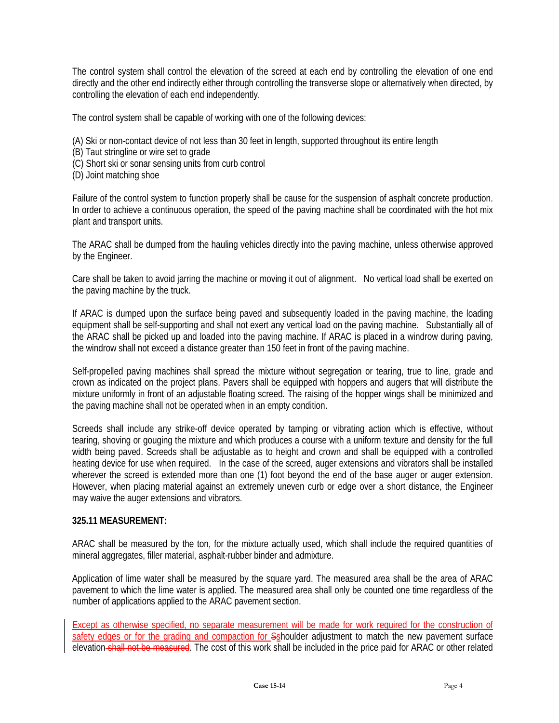The control system shall control the elevation of the screed at each end by controlling the elevation of one end directly and the other end indirectly either through controlling the transverse slope or alternatively when directed, by controlling the elevation of each end independently.

The control system shall be capable of working with one of the following devices:

- (A) Ski or non-contact device of not less than 30 feet in length, supported throughout its entire length
- (B) Taut stringline or wire set to grade
- (C) Short ski or sonar sensing units from curb control
- (D) Joint matching shoe

Failure of the control system to function properly shall be cause for the suspension of asphalt concrete production. In order to achieve a continuous operation, the speed of the paving machine shall be coordinated with the hot mix plant and transport units.

The ARAC shall be dumped from the hauling vehicles directly into the paving machine, unless otherwise approved by the Engineer.

Care shall be taken to avoid jarring the machine or moving it out of alignment. No vertical load shall be exerted on the paving machine by the truck.

If ARAC is dumped upon the surface being paved and subsequently loaded in the paving machine, the loading equipment shall be self-supporting and shall not exert any vertical load on the paving machine. Substantially all of the ARAC shall be picked up and loaded into the paving machine. If ARAC is placed in a windrow during paving, the windrow shall not exceed a distance greater than 150 feet in front of the paving machine.

Self-propelled paving machines shall spread the mixture without segregation or tearing, true to line, grade and crown as indicated on the project plans. Pavers shall be equipped with hoppers and augers that will distribute the mixture uniformly in front of an adjustable floating screed. The raising of the hopper wings shall be minimized and the paving machine shall not be operated when in an empty condition.

Screeds shall include any strike-off device operated by tamping or vibrating action which is effective, without tearing, shoving or gouging the mixture and which produces a course with a uniform texture and density for the full width being paved. Screeds shall be adjustable as to height and crown and shall be equipped with a controlled heating device for use when required. In the case of the screed, auger extensions and vibrators shall be installed wherever the screed is extended more than one (1) foot beyond the end of the base auger or auger extension. However, when placing material against an extremely uneven curb or edge over a short distance, the Engineer may waive the auger extensions and vibrators.

#### **325.11 MEASUREMENT:**

ARAC shall be measured by the ton, for the mixture actually used, which shall include the required quantities of mineral aggregates, filler material, asphalt-rubber binder and admixture.

Application of lime water shall be measured by the square yard. The measured area shall be the area of ARAC pavement to which the lime water is applied. The measured area shall only be counted one time regardless of the number of applications applied to the ARAC pavement section.

Except as otherwise specified, no separate measurement will be made for work required for the construction of safety edges or for the grading and compaction for Sshoulder adjustment to match the new pavement surface elevation shall not be measured. The cost of this work shall be included in the price paid for ARAC or other related